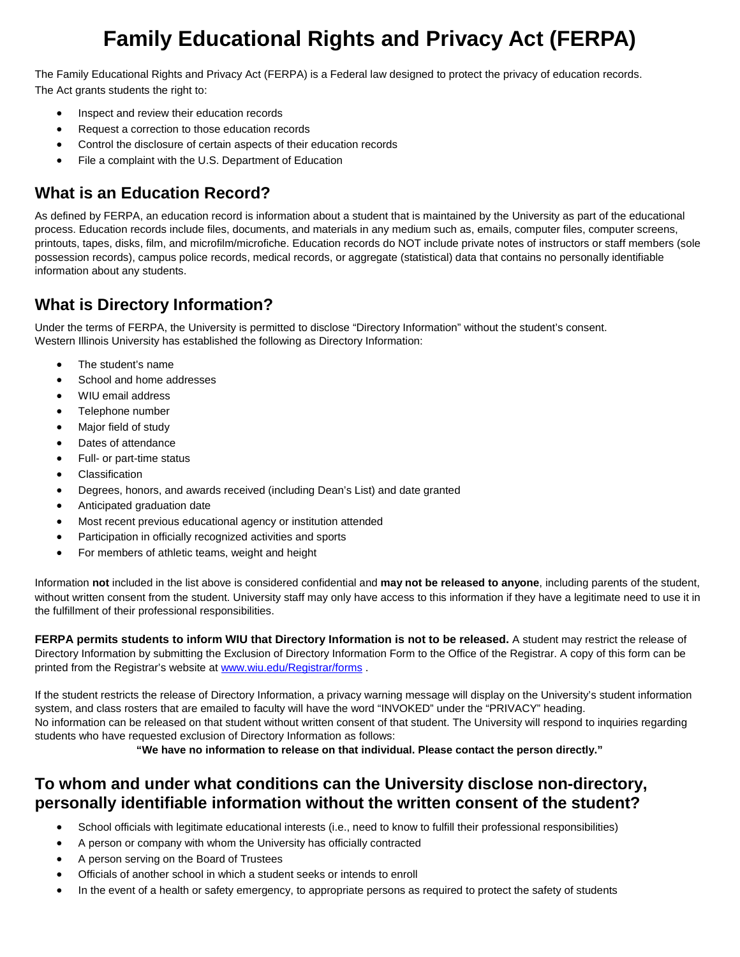# **Family Educational Rights and Privacy Act (FERPA)**

The Family Educational Rights and Privacy Act (FERPA) is a Federal law designed to protect the privacy of education records. The Act grants students the right to:

- Inspect and review their education records
- Request a correction to those education records
- Control the disclosure of certain aspects of their education records
- File a complaint with the U.S. Department of Education

# **What is an Education Record?**

As defined by FERPA, an education record is information about a student that is maintained by the University as part of the educational process. Education records include files, documents, and materials in any medium such as, emails, computer files, computer screens, printouts, tapes, disks, film, and microfilm/microfiche. Education records do NOT include private notes of instructors or staff members (sole possession records), campus police records, medical records, or aggregate (statistical) data that contains no personally identifiable information about any students.

# **What is Directory Information?**

Under the terms of FERPA, the University is permitted to disclose "Directory Information" without the student's consent. Western Illinois University has established the following as Directory Information:

- The student's name
- School and home addresses
- WIU email address
- Telephone number
- Major field of study
- Dates of attendance
- Full- or part-time status
- **Classification**
- Degrees, honors, and awards received (including Dean's List) and date granted
- Anticipated graduation date
- Most recent previous educational agency or institution attended
- Participation in officially recognized activities and sports
- For members of athletic teams, weight and height

Information **not** included in the list above is considered confidential and **may not be released to anyone**, including parents of the student, without written consent from the student. University staff may only have access to this information if they have a legitimate need to use it in the fulfillment of their professional responsibilities.

**FERPA permits students to inform WIU that Directory Information is not to be released.** A student may restrict the release of Directory Information by submitting the Exclusion of Directory Information Form to the Office of the Registrar. A copy of this form can be printed from the Registrar's website at [www.wiu.edu/Registrar/forms](http://www.wiu.edu/Registrar/forms) .

If the student restricts the release of Directory Information, a privacy warning message will display on the University's student information system, and class rosters that are emailed to faculty will have the word "INVOKED" under the "PRIVACY" heading. No information can be released on that student without written consent of that student. The University will respond to inquiries regarding students who have requested exclusion of Directory Information as follows:

**"We have no information to release on that individual. Please contact the person directly."**

#### **To whom and under what conditions can the University disclose non-directory, personally identifiable information without the written consent of the student?**

- School officials with legitimate educational interests (i.e., need to know to fulfill their professional responsibilities)
- A person or company with whom the University has officially contracted
- A person serving on the Board of Trustees
- Officials of another school in which a student seeks or intends to enroll
- In the event of a health or safety emergency, to appropriate persons as required to protect the safety of students